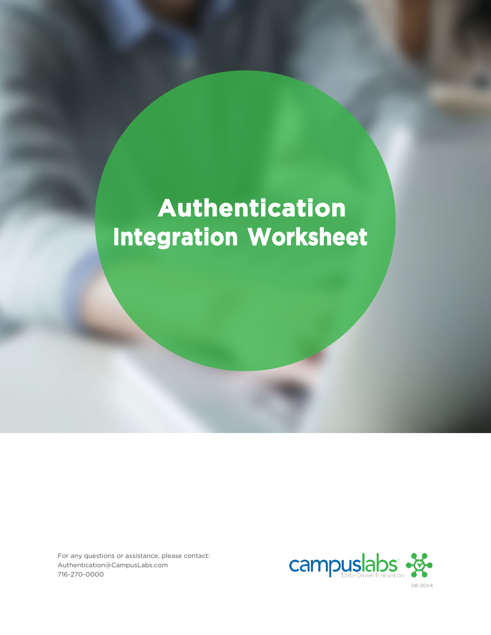# **Authentication Integration Worksheet**

For any questions or assistance, please contact: [Authentication@CampusLabs.com](mailto:Authentication@CampusLabs.com) 716-270-0000



08-20V4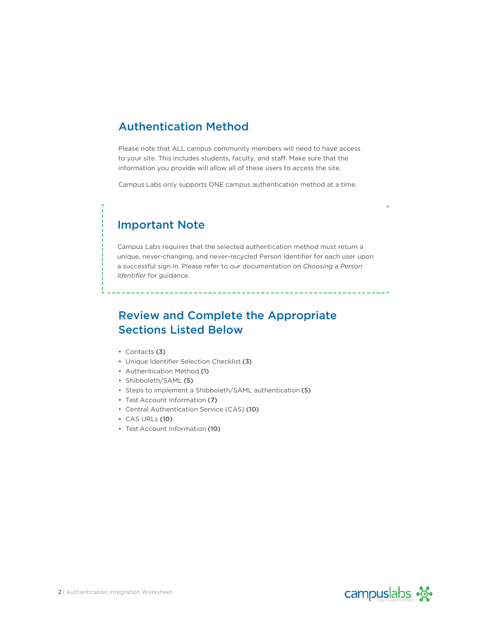### Authentication Method

Please note that ALL campus community members will need to have access to your site. This includes students, faculty, and staff. Make sure that the information you provide will allow all of these users to access the site.

Campus Labs only supports ONE campus authentication method at a time.

### Important Note

Campus Labs requires that the selected authentication method must return a unique, never-changing, and never-recycled Person Identifier for each user upon a successful sign in. Please refer to our documentation on *Choosing a Person Identifier* for guidance.

# Review and Complete the Appropriate Sections Listed Below

- Contacts (3)
- Unique Identifier Selection Checklist (3)
- Authentication Method (1)
- Shibboleth/SAML (5)
- Steps to implement a Shibboleth/SAML authentication (5)
- Test Account Information (7)
- Central Authentication Service (CAS) (10)
- CAS URLs (10)
- Test Account Information (10)

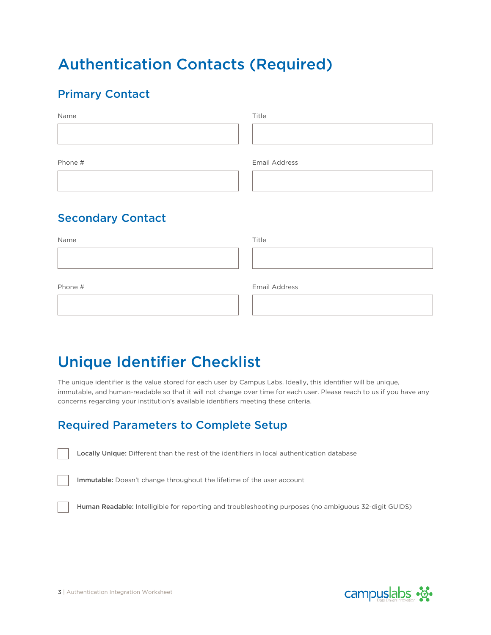# Authentication Contacts (Required)

# Primary Contact

| Name                     | Title                |
|--------------------------|----------------------|
| Phone #                  | <b>Email Address</b> |
| <b>Secondary Contact</b> |                      |
| Name                     | Title                |
|                          |                      |
| Phone #                  | <b>Email Address</b> |

# Unique Identifier Checklist

The unique identifier is the value stored for each user by Campus Labs. Ideally, this identifier will be unique, immutable, and human-readable so that it will not change over time for each user. Please reach to us if you have any concerns regarding your institution's available identifiers meeting these criteria.

# Required Parameters to Complete Setup

Locally Unique: Different than the rest of the identifiers in local authentication database

Immutable: Doesn't change throughout the lifetime of the user account

Human Readable: Intelligible for reporting and troubleshooting purposes (no ambiguous 32-digit GUIDS)

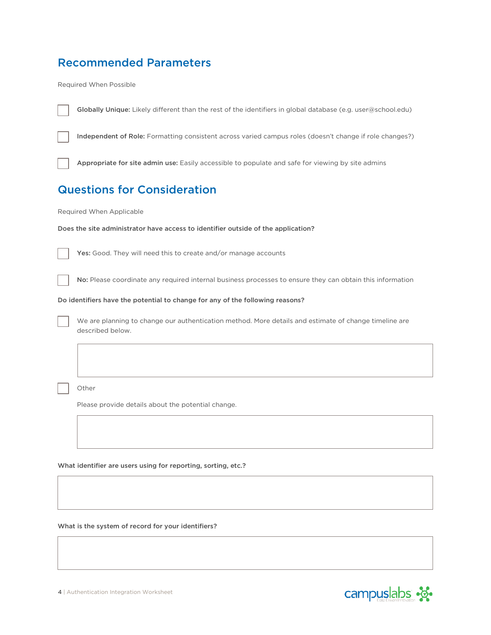# Recommended Parameters

Required When Possible

|                                                                                   | Independent of Role: Formatting consistent across varied campus roles (doesn't change if role changes?)                   |  |  |  |  |  |
|-----------------------------------------------------------------------------------|---------------------------------------------------------------------------------------------------------------------------|--|--|--|--|--|
|                                                                                   | Appropriate for site admin use: Easily accessible to populate and safe for viewing by site admins                         |  |  |  |  |  |
|                                                                                   | <b>Questions for Consideration</b>                                                                                        |  |  |  |  |  |
|                                                                                   | Required When Applicable                                                                                                  |  |  |  |  |  |
| Does the site administrator have access to identifier outside of the application? |                                                                                                                           |  |  |  |  |  |
|                                                                                   | Yes: Good. They will need this to create and/or manage accounts                                                           |  |  |  |  |  |
|                                                                                   | No: Please coordinate any required internal business processes to ensure they can obtain this information                 |  |  |  |  |  |
|                                                                                   | Do identifiers have the potential to change for any of the following reasons?                                             |  |  |  |  |  |
|                                                                                   | We are planning to change our authentication method. More details and estimate of change timeline are<br>described below. |  |  |  |  |  |
|                                                                                   |                                                                                                                           |  |  |  |  |  |
|                                                                                   | Other                                                                                                                     |  |  |  |  |  |
|                                                                                   | Please provide details about the potential change.                                                                        |  |  |  |  |  |
|                                                                                   |                                                                                                                           |  |  |  |  |  |
|                                                                                   | What identifier are users using for reporting, sorting, etc.?                                                             |  |  |  |  |  |

Globally Unique: Likely different than the rest of the identifiers in global database (e.g. user@school.edu)

What is the system of record for your identifiers?

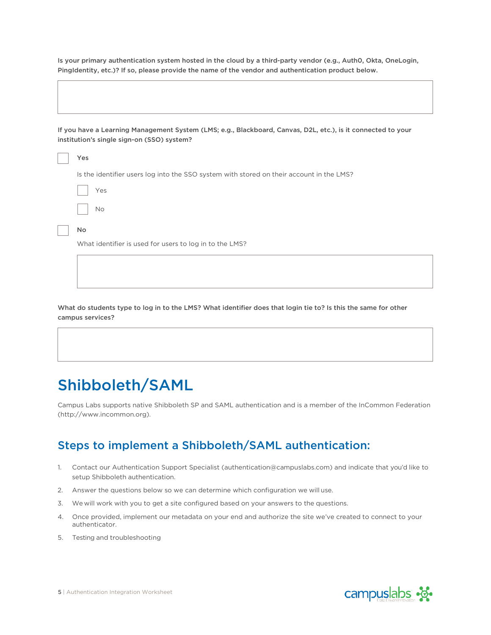Is your primary authentication system hosted in the cloud by a third-party vendor (e.g., Auth0, Okta, OneLogin, PingIdentity, etc.)? If so, please provide the name of the vendor and authentication product below.

If you have a Learning Management System (LMS; e.g., Blackboard, Canvas, D2L, etc.), is it connected to your institution's single sign-on (SSO) system?

| Yes                                                                                      |
|------------------------------------------------------------------------------------------|
| Is the identifier users log into the SSO system with stored on their account in the LMS? |
| Yes                                                                                      |
| <b>No</b>                                                                                |
| <b>No</b>                                                                                |
| What identifier is used for users to log in to the LMS?                                  |
|                                                                                          |

What do students type to log in to the LMS? What identifier does that login tie to? Is this the same for other campus services?

# Shibboleth/SAML

Campus Labs supports native Shibboleth SP and SAML authentication and is a member of the InCommon Federation (http://www.incommon.org).

### Steps to implement a Shibboleth/SAML authentication:

- 1. Contact our Authentication Support Specialist (authentication@campuslabs.com) and indicate that you'd like to setup Shibboleth authentication.
- 2. Answer the questions below so we can determine which configuration we will use.
- 3. We will work with you to get a site configured based on your answers to the questions.
- 4. Once provided, implement our metadata on your end and authorize the site we've created to connect to your authenticator.
- 5. Testing and troubleshooting



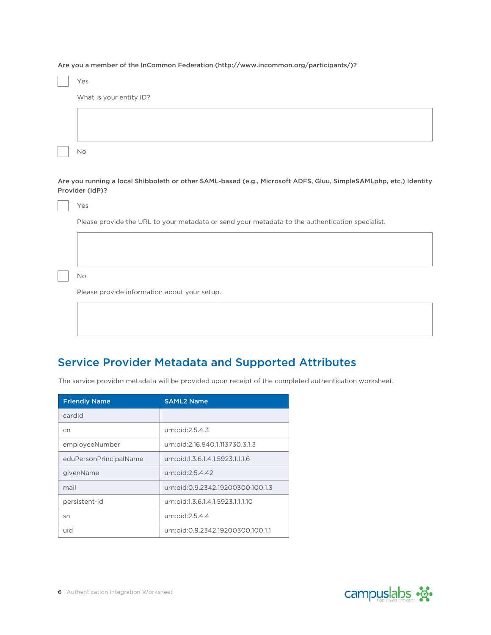Are you a member of the InCommon Feder[ation \(http://www.incommon.org/participants/\)?](http://www.incommon.org/participants/))

| Yes                                                                                                                                  |  |  |
|--------------------------------------------------------------------------------------------------------------------------------------|--|--|
| What is your entity ID?                                                                                                              |  |  |
|                                                                                                                                      |  |  |
|                                                                                                                                      |  |  |
| No                                                                                                                                   |  |  |
|                                                                                                                                      |  |  |
| Are you running a local Shibboleth or other SAML-based (e.g., Microsoft ADFS, Gluu, SimpleSAMLphp, etc.) Identity<br>Provider (IdP)? |  |  |
| Yes                                                                                                                                  |  |  |
| Please provide the URL to your metadata or send your metadata to the authentication specialist.                                      |  |  |
|                                                                                                                                      |  |  |
|                                                                                                                                      |  |  |
|                                                                                                                                      |  |  |
| No                                                                                                                                   |  |  |
| Please provide information about your setup.                                                                                         |  |  |

### Service Provider Metadata and Supported Attributes

The service provider metadata will be provided upon receipt of the completed authentication worksheet.

| <b>Friendly Name</b>   | <b>SAML2 Name</b>                 |
|------------------------|-----------------------------------|
| cardId                 |                                   |
| cn                     | urn: $oid:2.5.4.3$                |
| employeeNumber         | urn:oid:2.16.840.1.113730.3.1.3   |
| eduPersonPrincipalName | urn:oid:1.3.6.1.4.1.5923.1.1.1.6  |
| givenName              | urn:oid:2.5.4.42                  |
| mail                   | urn:oid:0.9.2342.19200300.100.1.3 |
| persistent-id          | urn:oid:1.3.6.1.4.1.5923.1.1.1.10 |
| sn                     | urn:oid:2.5.4.4                   |
| uid                    | urn:oid:0.9.2342.19200300.100.1.1 |

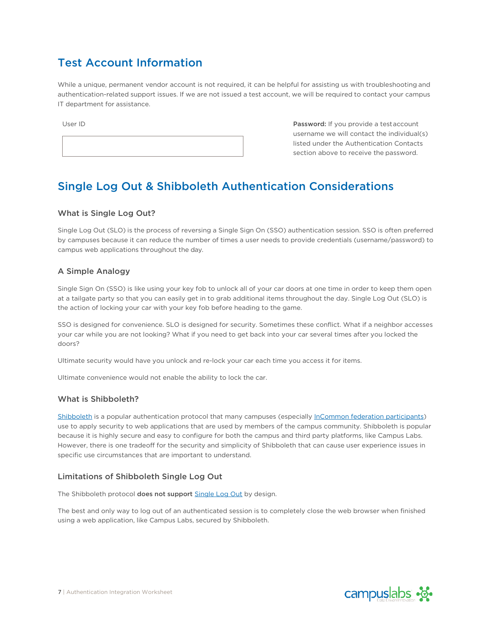# Test Account Information

While a unique, permanent vendor account is not required, it can be helpful for assisting us with troubleshooting and authentication-related support issues. If we are not issued a test account, we will be required to contact your campus IT department for assistance.

User ID **Password: If you provide a testaccount** username we will contact the individual(s) listed under the Authentication Contacts section above to receive the password.

# Single Log Out & Shibboleth Authentication Considerations

#### What is Single Log Out?

Single Log Out (SLO) is the process of reversing a Single Sign On (SSO) authentication session. SSO is often preferred by campuses because it can reduce the number of times a user needs to provide credentials (username/password) to campus web applications throughout the day.

#### A Simple Analogy

Single Sign On (SSO) is like using your key fob to unlock all of your car doors at one time in order to keep them open at a tailgate party so that you can easily get in to grab additional items throughout the day. Single Log Out (SLO) is the action of locking your car with your key fob before heading to the game.

SSO is designed for convenience. SLO is designed for security. Sometimes these conflict. What if a neighbor accesses your car while you are not looking? What if you need to get back into your car several times after you locked the doors?

Ultimate security would have you unlock and re-lock your car each time you access it for items.

Ultimate convenience would not enable the ability to lock the car.

#### What is Shibboleth?

[Shibboleth](https://shibboleth.net/) is a popular authentication protocol that many campuses (especially [InCommon federation participants\)](https://www.incommon.org/participants/) use to apply security to web applications that are used by members of the campus community. Shibboleth is popular because it is highly secure and easy to configure for both the campus and third party platforms, like Campus Labs. However, there is one tradeoff for the security and simplicity of Shibboleth that can cause user experience issues in specific use circumstances that are important to understand.

#### Limitations of Shibboleth Single Log Out

The Shibboleth protocol does not support [Single Log Out](https://wiki.shibboleth.net/confluence/display/CONCEPT/SLOIssues) by design.

The best and only way to log out of an authenticated session is to completely close the web browser when finished using a web application, like Campus Labs, secured by Shibboleth.

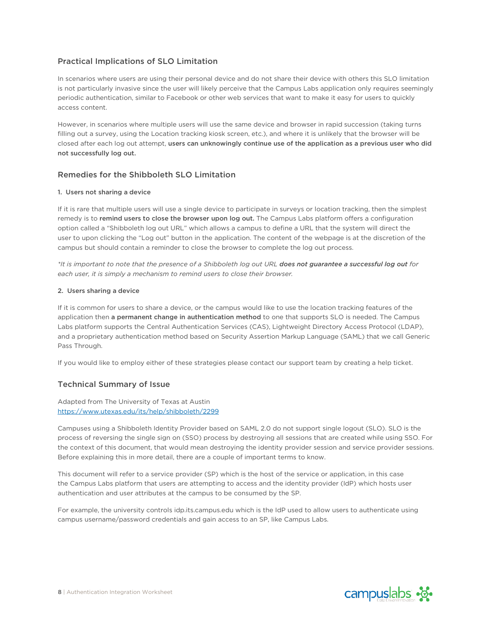#### Practical Implications of SLO Limitation

In scenarios where users are using their personal device and do not share their device with others this SLO limitation is not particularly invasive since the user will likely perceive that the Campus Labs application only requires seemingly periodic authentication, similar to Facebook or other web services that want to make it easy for users to quickly access content.

However, in scenarios where multiple users will use the same device and browser in rapid succession (taking turns filling out a survey, using the Location tracking kiosk screen, etc.), and where it is unlikely that the browser will be closed after each log out attempt, users can unknowingly continue use of the application as a previous user who did not successfully log out.

#### Remedies for the Shibboleth SLO Limitation

#### 1. Users not sharing a device

If it is rare that multiple users will use a single device to participate in surveys or location tracking, then the simplest remedy is to remind users to close the browser upon log out. The Campus Labs platform offers a configuration option called a "Shibboleth log out URL" which allows a campus to define a URL that the system will direct the user to upon clicking the "Log out" button in the application. The content of the webpage is at the discretion of the campus but should contain a reminder to close the browser to complete the log out process.

*\*It is important to note that the presence of a Shibboleth log out URL does not guarantee a successful log out for each user, it is simply a mechanism to remind users to close their browser.*

#### 2. Users sharing a device

If it is common for users to share a device, or the campus would like to use the location tracking features of the application then a permanent change in authentication method to one that supports SLO is needed. The Campus Labs platform supports the Central Authentication Services (CAS), Lightweight Directory Access Protocol (LDAP), and a proprietary authentication method based on Security Assertion Markup Language (SAML) that we call Generic Pass Through.

If you would like to employ either of these strategies please contact our support team by creating a help ticket.

#### Technical Summary of Issue

Adapted from The University of Texas at Austin <https://www.utexas.edu/its/help/shibboleth/2299>

Campuses using a Shibboleth Identity Provider based on SAML 2.0 do not support single logout (SLO). SLO is the process of reversing the single sign on (SSO) process by destroying all sessions that are created while using SSO. For the context of this document, that would mean destroying the identity provider session and service provider sessions. Before explaining this in more detail, there are a couple of important terms to know.

This document will refer to a service provider (SP) which is the host of the service or application, in this case the Campus Labs platform that users are attempting to access and the identity provider (IdP) which hosts user authentication and user attributes at the campus to be consumed by the SP.

For example, the university controls idp.its.campus.edu which is the IdP used to allow users to authenticate using campus username/password credentials and gain access to an SP, like Campus Labs.

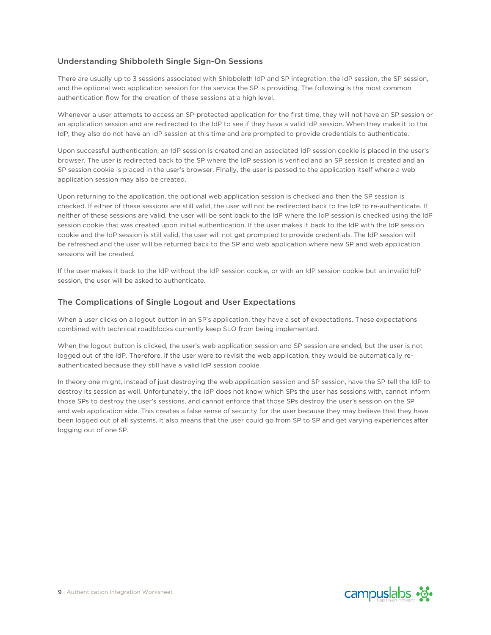#### Understanding Shibboleth Single Sign-On Sessions

There are usually up to 3 sessions associated with Shibboleth IdP and SP integration: the IdP session, the SP session, and the optional web application session for the service the SP is providing. The following is the most common authentication flow for the creation of these sessions at a high level.

Whenever a user attempts to access an SP-protected application for the first time, they will not have an SP session or an application session and are redirected to the IdP to see if they have a valid IdP session. When they make it to the IdP, they also do not have an IdP session at this time and are prompted to provide credentials to authenticate.

Upon successful authentication, an IdP session is created and an associated IdP session cookie is placed in the user's browser. The user is redirected back to the SP where the IdP session is verified and an SP session is created and an SP session cookie is placed in the user's browser. Finally, the user is passed to the application itself where a web application session may also be created.

Upon returning to the application, the optional web application session is checked and then the SP session is checked. If either of these sessions are still valid, the user will not be redirected back to the IdP to re-authenticate. If neither of these sessions are valid, the user will be sent back to the IdP where the IdP session is checked using the IdP session cookie that was created upon initial authentication. If the user makes it back to the IdP with the IdP session cookie and the IdP session is still valid, the user will not get prompted to provide credentials. The IdP session will be refreshed and the user will be returned back to the SP and web application where new SP and web application sessions will be created.

If the user makes it back to the IdP without the IdP session cookie, or with an IdP session cookie but an invalid IdP session, the user will be asked to authenticate.

#### The Complications of Single Logout and User Expectations

When a user clicks on a logout button in an SP's application, they have a set of expectations. These expectations combined with technical roadblocks currently keep SLO from being implemented.

When the logout button is clicked, the user's web application session and SP session are ended, but the user is not logged out of the IdP. Therefore, if the user were to revisit the web application, they would be automatically reauthenticated because they still have a valid IdP session cookie.

In theory one might, instead of just destroying the web application session and SP session, have the SP tell the IdP to destroy its session as well. Unfortunately, the IdP does not know which SPs the user has sessions with, cannot inform those SPs to destroy the user's sessions, and cannot enforce that those SPs destroy the user's session on the SP and web application side. This creates a false sense of security for the user because they may believe that they have been logged out of all systems. It also means that the user could go from SP to SP and get varying experiences after logging out of one SP.